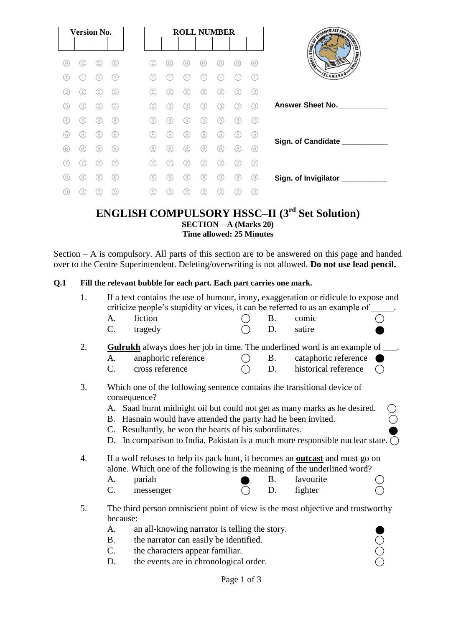|     | <b>Version No.</b> |                |     |     |     | <b>ROLL NUMBER</b> |     |               |     |     |                                                                                                                        |
|-----|--------------------|----------------|-----|-----|-----|--------------------|-----|---------------|-----|-----|------------------------------------------------------------------------------------------------------------------------|
|     |                    |                |     |     |     |                    |     |               |     |     | <b>CONTROLLATED AND SCORE AND SCORE AND SCORE AND SCORE AND SCORE AND SCORE AND SCORE AND SCRIPT AND SCRIPT AND SC</b> |
| (0) | O                  |                | 0)  | 0)  | O   | 0                  | 0   | 0)            | O   | (0) | <b>EDUCATION</b><br>I March                                                                                            |
|     |                    |                | (1) | 1.  |     |                    |     |               |     | (1) | SLAMABAD <sup>®</sup>                                                                                                  |
| 〔2  | 2                  | $\overline{2}$ | (2  | (2) | 2   | $\overline{2}$     | 2   | 2             |     | (2) |                                                                                                                        |
| (3) | 3)                 | (3)            | (3) | (3) | (3) | 3                  | 3   | (3)           | (3) | (3) | <b>Answer Sheet No.</b>                                                                                                |
| (4  | 4                  | 4              | (4) | (4) | 4   | 4                  | 4   | $\frac{1}{2}$ | 4   | (4) |                                                                                                                        |
| (5) | (5)                | (5)            | (5) | (5) | (5) | (5)                | (5  | 5             | (5  | (5) | Sign. of Candidate ___                                                                                                 |
| (6) | 6                  | (6)            | (6) | (6) | (6) | (6)                | (6) | 6)            | 6   | (6) |                                                                                                                        |
|     |                    |                | (7  | 7   |     |                    |     |               |     | (7  |                                                                                                                        |
| (8) | (8)                | (8)            | (8) | (8) | (8) | (8)                | (8) | (8)           | (8) | (8) | Sign. of Invigilator                                                                                                   |
| (9) | ΄9Ì                | ΄9             | (9) | (9) | ΄9΄ | 9                  | 9   | 9             | 9   | (9) |                                                                                                                        |

## **ENGLISH COMPULSORY HSSC–II (3rd Set Solution) SECTION – A (Marks 20) Time allowed: 25 Minutes**

Section – A is compulsory. All parts of this section are to be answered on this page and handed over to the Centre Superintendent. Deleting/overwriting is not allowed. **Do not use lead pencil.**

## **Q.1 Fill the relevant bubble for each part. Each part carries one mark.**

|                  |           | If a text contains the use of humour, irony, exaggeration or ridicule to expose and<br>criticize people's stupidity or vices, it can be referred to as an example of |           |                      |  |
|------------------|-----------|----------------------------------------------------------------------------------------------------------------------------------------------------------------------|-----------|----------------------|--|
|                  | A.        | fiction                                                                                                                                                              | <b>B.</b> | comic                |  |
|                  | C.        | tragedy                                                                                                                                                              | D.        | satire               |  |
| 2.               |           | <b>Gulrukh</b> always does her job in time. The underlined word is an example of                                                                                     |           |                      |  |
|                  | A.        | anaphoric reference                                                                                                                                                  | <b>B.</b> | cataphoric reference |  |
|                  | C.        | cross reference                                                                                                                                                      | D.        | historical reference |  |
| 3.               |           | Which one of the following sentence contains the transitional device of<br>consequence?                                                                              |           |                      |  |
|                  |           | A. Saad burnt midnight oil but could not get as many marks as he desired.<br>B. Hasnain would have attended the party had he been invited.                           |           |                      |  |
|                  |           | C. Resultantly, he won the hearts of his subordinates.                                                                                                               |           |                      |  |
|                  |           |                                                                                                                                                                      |           |                      |  |
|                  |           | D. In comparison to India, Pakistan is a much more responsible nuclear state. $\bigcap$                                                                              |           |                      |  |
| $\overline{4}$ . |           | If a wolf refuses to help its pack hunt, it becomes an <b>outcast</b> and must go on<br>alone. Which one of the following is the meaning of the underlined word?     |           |                      |  |
|                  | A.        | pariah                                                                                                                                                               | <b>B.</b> | favourite            |  |
|                  | C.        | messenger                                                                                                                                                            | D.        | fighter              |  |
| 5.               |           | The third person omniscient point of view is the most objective and trustworthy                                                                                      |           |                      |  |
|                  | because:  |                                                                                                                                                                      |           |                      |  |
|                  | A.        | an all-knowing narrator is telling the story.                                                                                                                        |           |                      |  |
|                  | <b>B.</b> | the narrator can easily be identified.                                                                                                                               |           |                      |  |

D. the events are in chronological order.  $\bigcirc$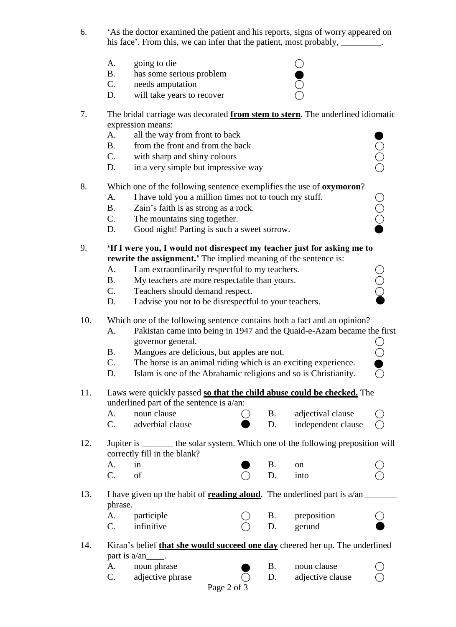- 6. "As the doctor examined the patient and his reports, signs of worry appeared on his face'. From this, we can infer that the patient, most probably,  $\frac{1}{\sqrt{2\pi}}$
- A. going to die B. has some serious problem C. needs amputation  $\overrightarrow{D}$ . will take vears to recover D. will take years to recover 7. The bridal carriage was decorated **from stem to stern**. The underlined idiomatic expression means: A. all the way from front to back B. from the front and from the back<br>
C. with sharp and shiny colours<br>
D. in a very simple but impressive way C. with sharp and shiny colours  $D.$  in a very simple but impressive way 8. Which one of the following sentence exemplifies the use of **oxymoron**? A. I have told you a million times not to touch my stuff.<br>
B. Zain's faith is as strong as a rock.<br>  $\bigcirc$ <br>  $\bigcirc$ <br>  $\bigcirc$ B. Zain's faith is as strong as a rock. C. The mountains sing together. D. Good night! Parting is such a sweet sorrow. 9. **'If I were you, I would not disrespect my teacher just for asking me to rewrite the assignment.'** The implied meaning of the sentence is: A. I am extraordinarily respectful to my teachers. B. My teachers are more respectable than yours. C. Teachers should demand respect. D. I advise you not to be disrespectful to your teachers. 10. Which one of the following sentence contains both a fact and an opinion? A. Pakistan came into being in 1947 and the Quaid-e-Azam became the first governor general. B. Mangoes are delicious, but apples are not.  $\bigcirc$ C. The horse is an animal riding which is an exciting experience. D. Islam is one of the Abrahamic religions and so is Christianity. 11. Laws were quickly passed **so that the child abuse could be checked.** The underlined part of the sentence is a/an: A. noun clause  $\bigcirc$  B. adjectival clause C. adverbial clause **D.** independent clause 12. Jupiter is \_\_\_\_\_\_\_ the solar system. Which one of the following preposition will correctly fill in the blank? A. in  $\qquad \qquad \bullet$  B. on  $\qquad \qquad \circ$  $C.$  of  $\bigcirc$  D. into  $\bigcirc$
- 13. I have given up the habit of **reading aloud**. The underlined part is a/an phrase. A. participle  $\bigcap$  B. preposition
	- $C.$  infinitive  $C.$  infinitive  $C.$  D. gerund
- 14. Kiran"s belief **that she would succeed one day** cheered her up. The underlined part is  $a/an$ .
	- A. noun phrase B. noun clause C. adjective phrase  $\bigcirc$  D. adjective clause
		- Page 2 of 3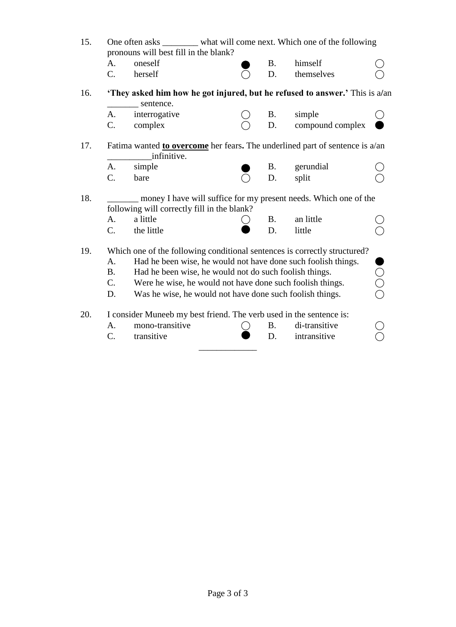| 15. |                 | One often asks ________ what will come next. Which one of the following<br>pronouns will best fill in the blank?    |           |                  |          |
|-----|-----------------|---------------------------------------------------------------------------------------------------------------------|-----------|------------------|----------|
|     | A.              | oneself                                                                                                             | <b>B.</b> | himself          |          |
|     | C.              | herself                                                                                                             | D.        | themselves       |          |
| 16. |                 | 'They asked him how he got injured, but he refused to answer.' This is a/an                                         |           |                  |          |
|     |                 | sentence.                                                                                                           |           |                  |          |
|     | A.              | interrogative                                                                                                       | <b>B.</b> | simple           |          |
|     | C.              | complex                                                                                                             | D.        | compound complex |          |
| 17. |                 | Fatima wanted <b>to overcome</b> her fears. The underlined part of sentence is a/an<br>infinitive.                  |           |                  |          |
|     | A.              | simple                                                                                                              | B.        | gerundial        |          |
|     | $C$ .           | bare                                                                                                                | D.        | split            |          |
| 18. |                 | ___ money I have will suffice for my present needs. Which one of the<br>following will correctly fill in the blank? |           |                  |          |
|     | A.              | a little                                                                                                            | <b>B.</b> | an little        |          |
|     | $\mathcal{C}$ . | the little                                                                                                          | D.        | little           |          |
| 19. |                 | Which one of the following conditional sentences is correctly structured?                                           |           |                  |          |
|     | A.              | Had he been wise, he would not have done such foolish things.                                                       |           |                  |          |
|     | <b>B.</b>       | Had he been wise, he would not do such foolish things.                                                              |           |                  | JO<br>OO |
|     | C.              | Were he wise, he would not have done such foolish things.                                                           |           |                  |          |
|     | D.              | Was he wise, he would not have done such foolish things.                                                            |           |                  |          |
| 20. |                 | I consider Muneeb my best friend. The verb used in the sentence is:                                                 |           |                  |          |
|     | A.              | mono-transitive                                                                                                     | <b>B.</b> | di-transitive    |          |
|     | C.              | transitive                                                                                                          | D.        | intransitive     |          |

\_\_\_\_\_\_\_\_\_\_\_\_\_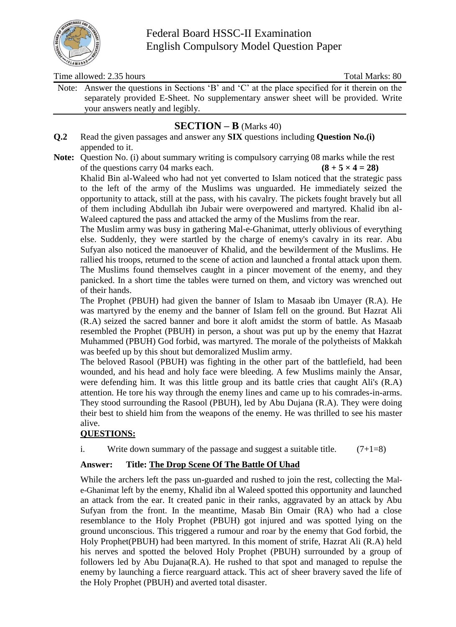

Time allowed: 2.35 hours Total Marks: 80 Note: Answer the questions in Sections "B" and "C" at the place specified for it therein on the

separately provided E-Sheet. No supplementary answer sheet will be provided. Write your answers neatly and legibly.

# **SECTION – B** (Marks 40)

- **Q.2** Read the given passages and answer any **SIX** questions including **Question No.(i)** appended to it.
- **Note:** Question No. (i) about summary writing is compulsory carrying 08 marks while the rest of the questions carry 04 marks each.  $(8 + 5 \times 4 = 28)$

Khalid Bin al-Waleed who had not yet converted to Islam noticed that the strategic pass to the left of the army of the Muslims was unguarded. He immediately seized the opportunity to attack, still at the pass, with his cavalry. The pickets fought bravely but all of them including Abdullah ibn Jubair were overpowered and martyred. Khalid ibn al-Waleed captured the pass and attacked the army of the Muslims from the rear.

The Muslim army was busy in gathering Mal-e-Ghanimat, utterly oblivious of everything else. Suddenly, they were startled by the charge of enemy's cavalry in its rear. Abu Sufyan also noticed the manoeuver of Khalid, and the bewilderment of the Muslims. He rallied his troops, returned to the scene of action and launched a frontal attack upon them. The Muslims found themselves caught in a pincer movement of the enemy, and they panicked. In a short time the tables were turned on them, and victory was wrenched out of their hands.

The Prophet (PBUH) had given the banner of Islam to Masaab ibn Umayer (R.A). He was martyred by the enemy and the banner of Islam fell on the ground. But Hazrat Ali (R.A) seized the sacred banner and bore it aloft amidst the storm of battle. As Masaab resembled the Prophet (PBUH) in person, a shout was put up by the enemy that Hazrat Muhammed (PBUH) God forbid, was martyred. The morale of the polytheists of Makkah was beefed up by this shout but demoralized Muslim army.

The beloved Rasool (PBUH) was fighting in the other part of the battlefield, had been wounded, and his head and holy face were bleeding. A few Muslims mainly the Ansar, were defending him. It was this little group and its battle cries that caught Ali's (R.A) attention. He tore his way through the enemy lines and came up to his comrades-in-arms. They stood surrounding the Rasool (PBUH), led by Abu Dujana (R.A). They were doing their best to shield him from the weapons of the enemy. He was thrilled to see his master alive.

## **QUESTIONS:**

i. Write down summary of the passage and suggest a suitable title.  $(7+1=8)$ 

## **Answer: Title: The Drop Scene Of The Battle Of Uhad**

While the archers left the pass un-guarded and rushed to join the rest, collecting the Male-Ghanimat left by the enemy, Khalid ibn al Waleed spotted this opportunity and launched an attack from the ear. It created panic in their ranks, aggravated by an attack by Abu Sufyan from the front. In the meantime, Masab Bin Omair (RA) who had a close resemblance to the Holy Prophet (PBUH) got injured and was spotted lying on the ground unconscious. This triggered a rumour and roar by the enemy that God forbid, the Holy Prophet(PBUH) had been martyred. In this moment of strife, Hazrat Ali (R.A) held his nerves and spotted the beloved Holy Prophet (PBUH) surrounded by a group of followers led by Abu Dujana(R.A). He rushed to that spot and managed to repulse the enemy by launching a fierce rearguard attack. This act of sheer bravery saved the life of the Holy Prophet (PBUH) and averted total disaster.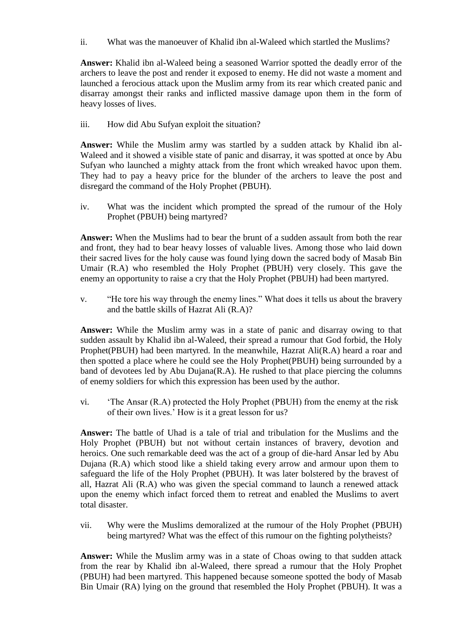ii. What was the manoeuver of Khalid ibn al-Waleed which startled the Muslims?

**Answer:** Khalid ibn al-Waleed being a seasoned Warrior spotted the deadly error of the archers to leave the post and render it exposed to enemy. He did not waste a moment and launched a ferocious attack upon the Muslim army from its rear which created panic and disarray amongst their ranks and inflicted massive damage upon them in the form of heavy losses of lives.

iii. How did Abu Sufyan exploit the situation?

**Answer:** While the Muslim army was startled by a sudden attack by Khalid ibn al-Waleed and it showed a visible state of panic and disarray, it was spotted at once by Abu Sufyan who launched a mighty attack from the front which wreaked havoc upon them. They had to pay a heavy price for the blunder of the archers to leave the post and disregard the command of the Holy Prophet (PBUH).

iv. What was the incident which prompted the spread of the rumour of the Holy Prophet (PBUH) being martyred?

**Answer:** When the Muslims had to bear the brunt of a sudden assault from both the rear and front, they had to bear heavy losses of valuable lives. Among those who laid down their sacred lives for the holy cause was found lying down the sacred body of Masab Bin Umair (R.A) who resembled the Holy Prophet (PBUH) very closely. This gave the enemy an opportunity to raise a cry that the Holy Prophet (PBUH) had been martyred.

v. "He tore his way through the enemy lines." What does it tells us about the bravery and the battle skills of Hazrat Ali (R.A)?

**Answer:** While the Muslim army was in a state of panic and disarray owing to that sudden assault by Khalid ibn al-Waleed, their spread a rumour that God forbid, the Holy Prophet(PBUH) had been martyred. In the meanwhile, Hazrat Ali(R.A) heard a roar and then spotted a place where he could see the Holy Prophet(PBUH) being surrounded by a band of devotees led by Abu Dujana(R.A). He rushed to that place piercing the columns of enemy soldiers for which this expression has been used by the author.

vi. "The Ansar (R.A) protected the Holy Prophet (PBUH) from the enemy at the risk of their own lives." How is it a great lesson for us?

**Answer:** The battle of Uhad is a tale of trial and tribulation for the Muslims and the Holy Prophet (PBUH) but not without certain instances of bravery, devotion and heroics. One such remarkable deed was the act of a group of die-hard Ansar led by Abu Dujana (R.A) which stood like a shield taking every arrow and armour upon them to safeguard the life of the Holy Prophet (PBUH). It was later bolstered by the bravest of all, Hazrat Ali (R.A) who was given the special command to launch a renewed attack upon the enemy which infact forced them to retreat and enabled the Muslims to avert total disaster.

vii. Why were the Muslims demoralized at the rumour of the Holy Prophet (PBUH) being martyred? What was the effect of this rumour on the fighting polytheists?

**Answer:** While the Muslim army was in a state of Choas owing to that sudden attack from the rear by Khalid ibn al-Waleed, there spread a rumour that the Holy Prophet (PBUH) had been martyred. This happened because someone spotted the body of Masab Bin Umair (RA) lying on the ground that resembled the Holy Prophet (PBUH). It was a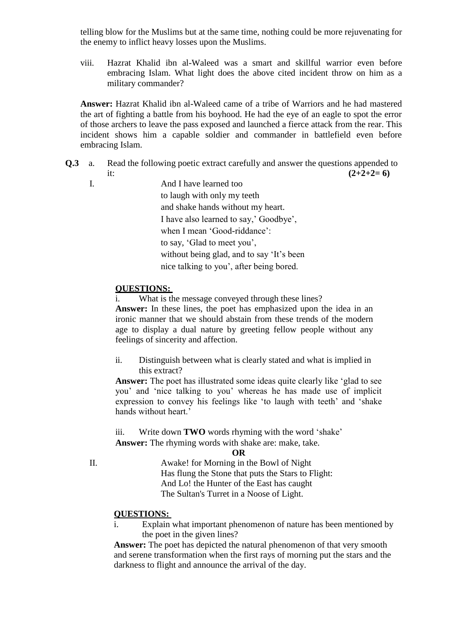telling blow for the Muslims but at the same time, nothing could be more rejuvenating for the enemy to inflict heavy losses upon the Muslims.

viii. Hazrat Khalid ibn al-Waleed was a smart and skillful warrior even before embracing Islam. What light does the above cited incident throw on him as a military commander?

**Answer:** Hazrat Khalid ibn al-Waleed came of a tribe of Warriors and he had mastered the art of fighting a battle from his boyhood. He had the eye of an eagle to spot the error of those archers to leave the pass exposed and launched a fierce attack from the rear. This incident shows him a capable soldier and commander in battlefield even before embracing Islam.

**Q.3** a. Read the following poetic extract carefully and answer the questions appended to it:  $(2+2+2=6)$ 

 I. And I have learned too to laugh with only my teeth and shake hands without my heart. I have also learned to say,' Goodbye', when I mean 'Good-riddance': to say, "Glad to meet you", without being glad, and to say 'It's been nice talking to you", after being bored.

#### **QUESTIONS:**

i. What is the message conveyed through these lines?

**Answer:** In these lines, the poet has emphasized upon the idea in an ironic manner that we should abstain from these trends of the modern age to display a dual nature by greeting fellow people without any feelings of sincerity and affection.

ii. Distinguish between what is clearly stated and what is implied in this extract?

**Answer:** The poet has illustrated some ideas quite clearly like "glad to see you" and "nice talking to you" whereas he has made use of implicit expression to convey his feelings like 'to laugh with teeth' and 'shake hands without heart.'

iii. Write down **TWO** words rhyming with the word "shake" **Answer:** The rhyming words with shake are: make, take.

**OR**

 II. Awake! for Morning in the Bowl of Night Has flung the Stone that puts the Stars to Flight: And Lo! the Hunter of the East has caught The Sultan's Turret in a Noose of Light.

## **QUESTIONS:**

i. Explain what important phenomenon of nature has been mentioned by the poet in the given lines?

**Answer:** The poet has depicted the natural phenomenon of that very smooth and serene transformation when the first rays of morning put the stars and the darkness to flight and announce the arrival of the day.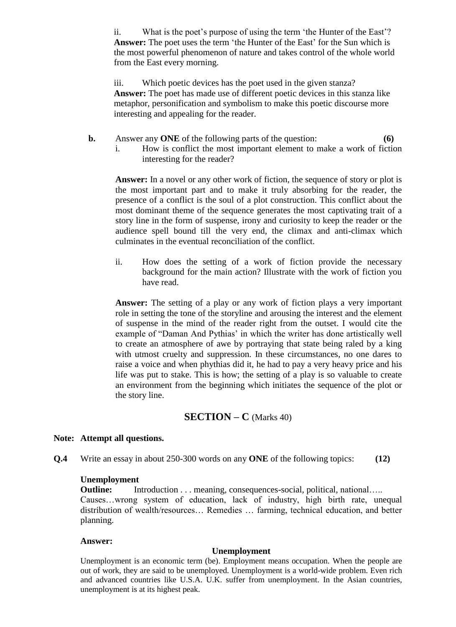ii. What is the poet's purpose of using the term 'the Hunter of the East'? Answer: The poet uses the term 'the Hunter of the East' for the Sun which is the most powerful phenomenon of nature and takes control of the whole world from the East every morning.

iii. Which poetic devices has the poet used in the given stanza? **Answer:** The poet has made use of different poetic devices in this stanza like metaphor, personification and symbolism to make this poetic discourse more interesting and appealing for the reader.

- **b.** Answer any **ONE** of the following parts of the question: **(6)**
	- i. How is conflict the most important element to make a work of fiction interesting for the reader?

**Answer:** In a novel or any other work of fiction, the sequence of story or plot is the most important part and to make it truly absorbing for the reader, the presence of a conflict is the soul of a plot construction. This conflict about the most dominant theme of the sequence generates the most captivating trait of a story line in the form of suspense, irony and curiosity to keep the reader or the audience spell bound till the very end, the climax and anti-climax which culminates in the eventual reconciliation of the conflict.

ii. How does the setting of a work of fiction provide the necessary background for the main action? Illustrate with the work of fiction you have read.

**Answer:** The setting of a play or any work of fiction plays a very important role in setting the tone of the storyline and arousing the interest and the element of suspense in the mind of the reader right from the outset. I would cite the example of "Daman And Pythias' in which the writer has done artistically well to create an atmosphere of awe by portraying that state being raled by a king with utmost cruelty and suppression. In these circumstances, no one dares to raise a voice and when phythias did it, he had to pay a very heavy price and his life was put to stake. This is how; the setting of a play is so valuable to create an environment from the beginning which initiates the sequence of the plot or the story line.

## **SECTION – C** (Marks 40)

#### **Note: Attempt all questions.**

**Q.4** Write an essay in about 250-300 words on any **ONE** of the following topics: **(12)**

#### **Unemployment**

**Outline:** Introduction . . . meaning, consequences-social, political, national.....

Causes…wrong system of education, lack of industry, high birth rate, unequal distribution of wealth/resources… Remedies … farming, technical education, and better planning.

#### **Answer:**

#### **Unemployment**

Unemployment is an economic term (be). Employment means occupation. When the people are out of work, they are said to be unemployed. Unemployment is a world-wide problem. Even rich and advanced countries like U.S.A. U.K. suffer from unemployment. In the Asian countries, unemployment is at its highest peak.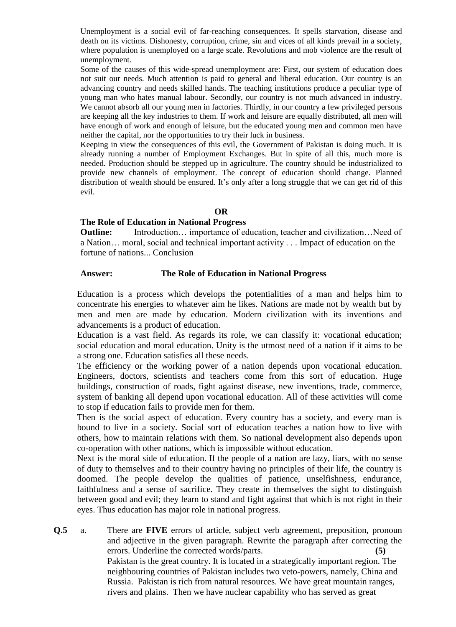Unemployment is a social evil of far-reaching consequences. It spells starvation, disease and death on its victims. Dishonesty, corruption, crime, sin and vices of all kinds prevail in a society, where population is unemployed on a large scale. Revolutions and mob violence are the result of unemployment.

Some of the causes of this wide-spread unemployment are: First, our system of education does not suit our needs. Much attention is paid to general and liberal education. Our country is an advancing country and needs skilled hands. The teaching institutions produce a peculiar type of young man who hates manual labour. Secondly, our country is not much advanced in industry. We cannot absorb all our young men in factories. Thirdly, in our country a few privileged persons are keeping all the key industries to them. If work and leisure are equally distributed, all men will have enough of work and enough of leisure, but the educated young men and common men have neither the capital, nor the opportunities to try their luck in business.

Keeping in view the consequences of this evil, the Government of Pakistan is doing much. It is already running a number of Employment Exchanges. But in spite of all this, much more is needed. Production should be stepped up in agriculture. The country should be industrialized to provide new channels of employment. The concept of education should change. Planned distribution of wealth should be ensured. It's only after a long struggle that we can get rid of this evil.

#### **OR**

## **The Role of Education in National Progress**

**Outline:** Introduction... importance of education, teacher and civilization...Need of a Nation… moral, social and technical important activity . . . Impact of education on the fortune of nations... Conclusion

#### **Answer: The Role of Education in National Progress**

Education is a process which develops the potentialities of a man and helps him to concentrate his energies to whatever aim he likes. Nations are made not by wealth but by men and men are made by education. Modern civilization with its inventions and advancements is a product of education.

Education is a vast field. As regards its role, we can classify it: vocational education; social education and moral education. Unity is the utmost need of a nation if it aims to be a strong one. Education satisfies all these needs.

The efficiency or the working power of a nation depends upon vocational education. Engineers, doctors, scientists and teachers come from this sort of education. Huge buildings, construction of roads, fight against disease, new inventions, trade, commerce, system of banking all depend upon vocational education. All of these activities will come to stop if education fails to provide men for them.

Then is the social aspect of education. Every country has a society, and every man is bound to live in a society. Social sort of education teaches a nation how to live with others, how to maintain relations with them. So national development also depends upon co-operation with other nations, which is impossible without education.

Next is the moral side of education. If the people of a nation are lazy, liars, with no sense of duty to themselves and to their country having no principles of their life, the country is doomed. The people develop the qualities of patience, unselfishness, endurance, faithfulness and a sense of sacrifice. They create in themselves the sight to distinguish between good and evil; they learn to stand and fight against that which is not right in their eyes. Thus education has major role in national progress.

**Q.5** a. There are **FIVE** errors of article, subject verb agreement, preposition, pronoun and adjective in the given paragraph. Rewrite the paragraph after correcting the errors. Underline the corrected words/parts. **(5)** Pakistan is the great country. It is located in a strategically important region. The neighbouring countries of Pakistan includes two veto-powers, namely, China and Russia. Pakistan is rich from natural resources. We have great mountain ranges, rivers and plains. Then we have nuclear capability who has served as great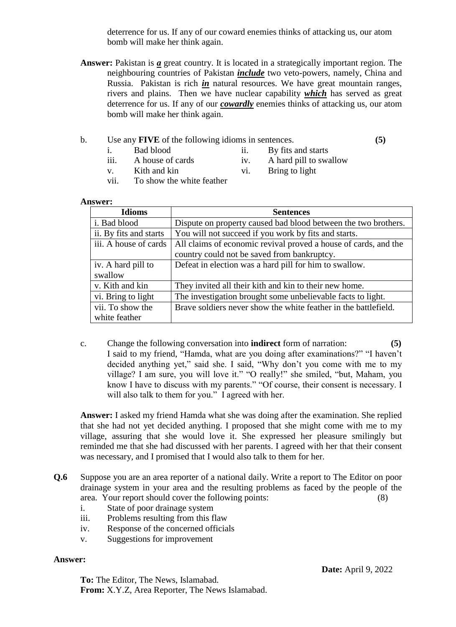deterrence for us. If any of our coward enemies thinks of attacking us, our atom bomb will make her think again.

**Answer:** Pakistan is *a* great country. It is located in a strategically important region. The neighbouring countries of Pakistan *include* two veto-powers, namely, China and Russia. Pakistan is rich *in* natural resources. We have great mountain ranges, rivers and plains. Then we have nuclear capability *which* has served as great deterrence for us. If any of our *cowardly* enemies thinks of attacking us, our atom bomb will make her think again.

|  | Use any <b>FIVE</b> of the following idioms in sentences. |  |
|--|-----------------------------------------------------------|--|
|--|-----------------------------------------------------------|--|

- 
- i. Bad blood ii. By fits and starts<br>iii. A house of cards iv. A hard pill to swa iii. A house of cards iv. A hard pill to swallow
- v. Kith and kin vi. Bring to light
- 
- vii. To show the white feather

## **Answer:**

| <b>Idioms</b>          | <b>Sentences</b>                                                |
|------------------------|-----------------------------------------------------------------|
| i. Bad blood           | Dispute on property caused bad blood between the two brothers.  |
| ii. By fits and starts | You will not succeed if you work by fits and starts.            |
| iii. A house of cards  | All claims of economic revival proved a house of cards, and the |
|                        | country could not be saved from bankruptcy.                     |
| iv. A hard pill to     | Defeat in election was a hard pill for him to swallow.          |
| swallow                |                                                                 |
| v. Kith and kin        | They invited all their kith and kin to their new home.          |
| vi. Bring to light     | The investigation brought some unbelievable facts to light.     |
| vii. To show the       | Brave soldiers never show the white feather in the battlefield. |
| white feather          |                                                                 |

c. Change the following conversation into **indirect** form of narration: **(5)** I said to my friend, "Hamda, what are you doing after examinations?" "I haven"t decided anything yet," said she. I said, "Why don"t you come with me to my village? I am sure, you will love it." "O really!" she smiled, "but, Maham, you know I have to discuss with my parents." "Of course, their consent is necessary. I will also talk to them for you." I agreed with her.

**Answer:** I asked my friend Hamda what she was doing after the examination. She replied that she had not yet decided anything. I proposed that she might come with me to my village, assuring that she would love it. She expressed her pleasure smilingly but reminded me that she had discussed with her parents. I agreed with her that their consent was necessary, and I promised that I would also talk to them for her.

- **Q.6** Suppose you are an area reporter of a national daily. Write a report to The Editor on poor drainage system in your area and the resulting problems as faced by the people of the area. Your report should cover the following points: (8)
	- i. State of poor drainage system
	- iii. Problems resulting from this flaw
	- iv. Response of the concerned officials
	- v. Suggestions for improvement

## **Answer:**

**To:** The Editor, The News, Islamabad. **From:** X.Y.Z, Area Reporter, The News Islamabad.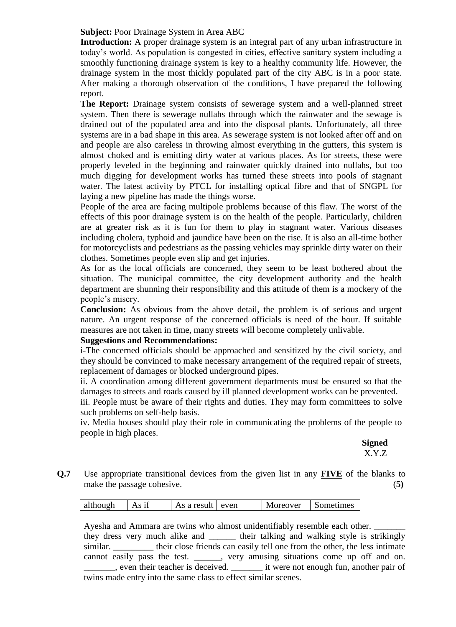## **Subject:** Poor Drainage System in Area ABC

**Introduction:** A proper drainage system is an integral part of any urban infrastructure in today"s world. As population is congested in cities, effective sanitary system including a smoothly functioning drainage system is key to a healthy community life. However, the drainage system in the most thickly populated part of the city ABC is in a poor state. After making a thorough observation of the conditions, I have prepared the following report.

**The Report:** Drainage system consists of sewerage system and a well-planned street system. Then there is sewerage nullahs through which the rainwater and the sewage is drained out of the populated area and into the disposal plants. Unfortunately, all three systems are in a bad shape in this area. As sewerage system is not looked after off and on and people are also careless in throwing almost everything in the gutters, this system is almost choked and is emitting dirty water at various places. As for streets, these were properly leveled in the beginning and rainwater quickly drained into nullahs, but too much digging for development works has turned these streets into pools of stagnant water. The latest activity by PTCL for installing optical fibre and that of SNGPL for laying a new pipeline has made the things worse.

People of the area are facing multipole problems because of this flaw. The worst of the effects of this poor drainage system is on the health of the people. Particularly, children are at greater risk as it is fun for them to play in stagnant water. Various diseases including cholera, typhoid and jaundice have been on the rise. It is also an all-time bother for motorcyclists and pedestrians as the passing vehicles may sprinkle dirty water on their clothes. Sometimes people even slip and get injuries.

As for as the local officials are concerned, they seem to be least bothered about the situation. The municipal committee, the city development authority and the health department are shunning their responsibility and this attitude of them is a mockery of the people's misery.

**Conclusion:** As obvious from the above detail, the problem is of serious and urgent nature. An urgent response of the concerned officials is need of the hour. If suitable measures are not taken in time, many streets will become completely unlivable.

## **Suggestions and Recommendations:**

i-The concerned officials should be approached and sensitized by the civil society, and they should be convinced to make necessary arrangement of the required repair of streets, replacement of damages or blocked underground pipes.

ii. A coordination among different government departments must be ensured so that the damages to streets and roads caused by ill planned development works can be prevented.

iii. People must be aware of their rights and duties. They may form committees to solve such problems on self-help basis.

iv. Media houses should play their role in communicating the problems of the people to people in high places.

 **Signed** X.Y.Z

**Q.7** Use appropriate transitional devices from the given list in any **FIVE** of the blanks to make the passage cohesive. (5)

| although<br>even<br>Sometimes<br>Moreover<br>result |
|-----------------------------------------------------|
|-----------------------------------------------------|

Ayesha and Ammara are twins who almost unidentifiably resemble each other. they dress very much alike and \_\_\_\_\_\_ their talking and walking style is strikingly similar. \_\_\_\_\_\_\_\_\_ their close friends can easily tell one from the other, the less intimate cannot easily pass the test. \_\_\_\_\_\_, very amusing situations come up off and on. \_\_\_\_\_\_\_, even their teacher is deceived. \_\_\_\_\_\_\_ it were not enough fun, another pair of twins made entry into the same class to effect similar scenes.